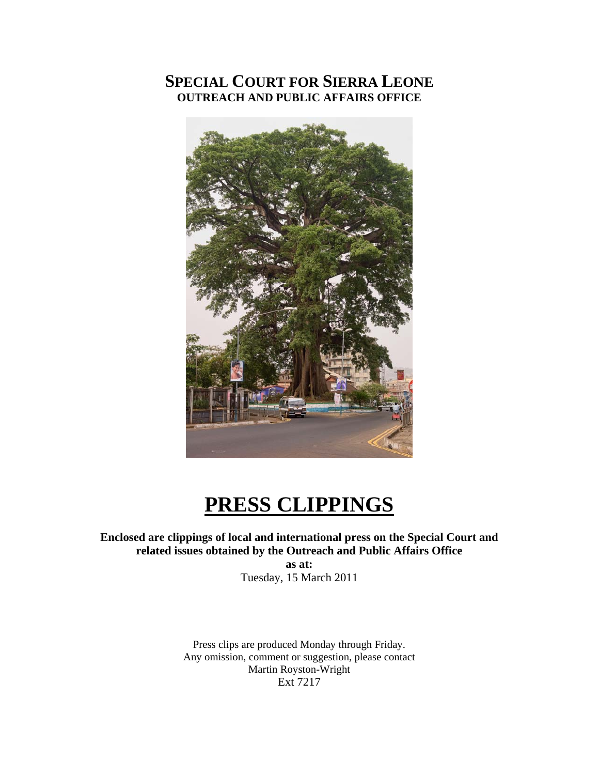### **SPECIAL COURT FOR SIERRA LEONE OUTREACH AND PUBLIC AFFAIRS OFFICE**



# **PRESS CLIPPINGS**

#### **Enclosed are clippings of local and international press on the Special Court and related issues obtained by the Outreach and Public Affairs Office**

**as at:**  Tuesday, 15 March 2011

Press clips are produced Monday through Friday. Any omission, comment or suggestion, please contact Martin Royston-Wright Ext 7217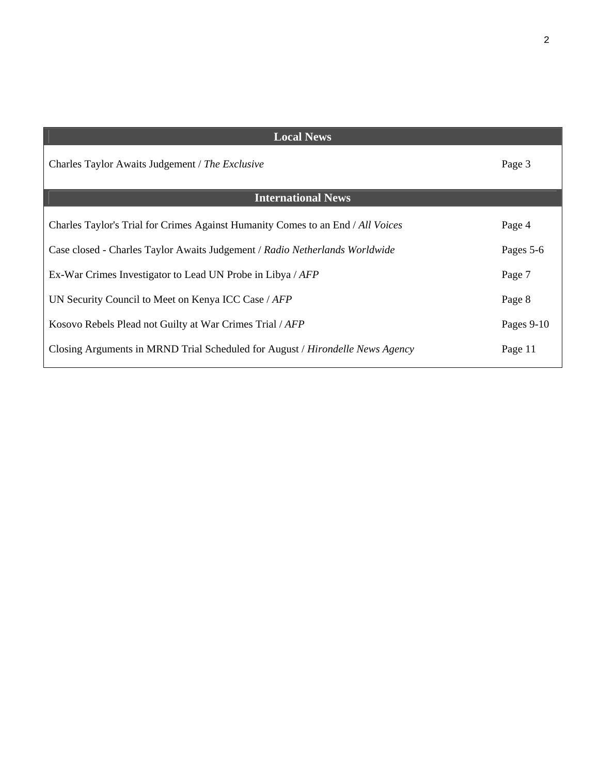| <b>Local News</b>                                                               |              |
|---------------------------------------------------------------------------------|--------------|
| Charles Taylor Awaits Judgement / The Exclusive                                 | Page 3       |
| <b>International News</b>                                                       |              |
| Charles Taylor's Trial for Crimes Against Humanity Comes to an End / All Voices | Page 4       |
| Case closed - Charles Taylor Awaits Judgement / Radio Netherlands Worldwide     | Pages 5-6    |
| Ex-War Crimes Investigator to Lead UN Probe in Libya / AFP                      | Page 7       |
| UN Security Council to Meet on Kenya ICC Case / AFP                             | Page 8       |
| Kosovo Rebels Plead not Guilty at War Crimes Trial / AFP                        | Pages $9-10$ |
| Closing Arguments in MRND Trial Scheduled for August / Hirondelle News Agency   | Page 11      |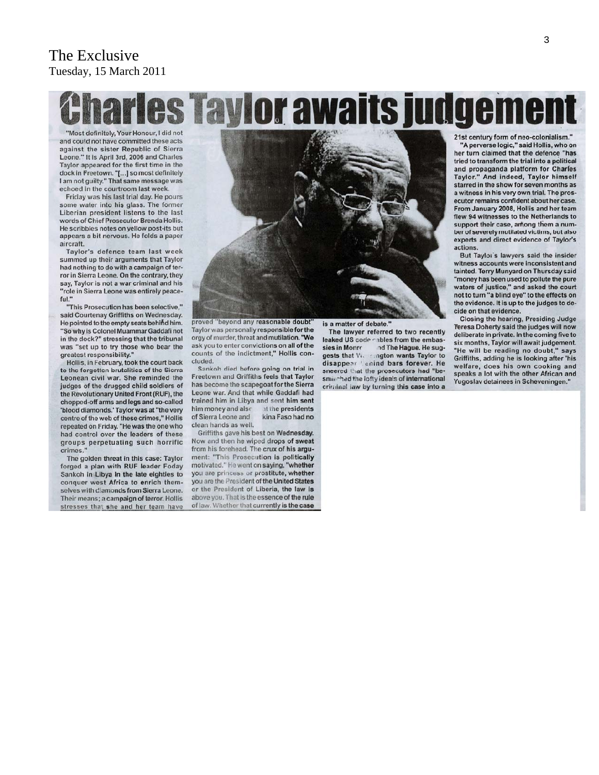#### The Exclusive Tuesday, 15 March 2011

# harles Taylor awaits judgement

"Most definitely, Your Honour, I did not and could not have committed these acts against the sister Republic of Sierra Leone." It is April 3rd, 2006 and Charles Taylor appeared for the first time in the dock in Freetown. "[...] so most definitely I am not guilty." That same message was echoed in the courtroom last week.

Friday was his last trial day. He pours some water into his glass. The former Liberian president listens to the last words of Chief Prosecutor Brenda Hollis. He scribbles notes on yellow post-its but appears a bit nervous. He folds a paper aircraft.

Taylor's defence team last week summed up their arguments that Taylor had nothing to do with a campaign of terror in Sierra Leone. On the contrary, they say, Taylor is not a war criminal and his "role in Sierra Leone was entirely peaceful."

"This Prosecution has been selective," said Courtenay Griffiths on Wednesday. He pointed to the empty seats behind him. "So why is Colonel Muammar Gaddafi not in the dock?" stressing that the tribunal was "set up to try those who bear the greatest responsibility."

Hollis, in February, took the court back to the forgotten brutalities of the Sierra Leonean civil war. She reminded the judges of the drugged child soldiers of the Revolutionary United Front (RUF), the chopped-off arms and legs and so-called 'blood diamonds.' Taylor was at "the very centre of the web of these crimes," Hollis repeated on Friday. "He was the one who had control over the leaders of these groups perpetuating such horrific crimes.

The golden threat in this case: Taylor forged a plan with RUF leader Foday Sankoh in Libya in the late eighties to conquer west Africa to enrich themselves with diamonds from Sierra Leone. Their means; a campaign of terror. Hollis stresses that she and her team have



proved "beyond any reasonable doubt" Taylor was personally responsible for the orgy of murder, threat and mutilation. "We ask you to enter convictions on all of the counts of the indictment," Hollis concluded.

Sankoh died before going on trial in Freetown and Griffiths feels that Taylor has become the scapegoat for the Sierra Leone war. And that while Gaddafi had trained him in Libya and sent him sent him money and also at the presidents of Sierra Leone and kina Faso had no clean hands as well.

Griffiths gave his best on Wednesday. Now and then he wiped drops of sweat from his forehead. The crux of his argument: "This Prosecution is politically motivated." He went on saying, "whether you are princess or prostitute, whether you are the President of the United States or the President of Liberia, the law is above you. That is the essence of the rule of law. Whether that currently is the case is a matter of debate.'

The lawyer referred to two recently leaked US code cables from the embassies in Monro nd The Hague. He suggests that W. mgton wants Taylor to disappear ' enind bars forever. He sneered that the prosecutors had "besmirched the lofty ideals of international criminal law by turning this case into a 21st century form of neo-colonialism

"A perverse logic," said Hollis, who on her turn claimed that the defence "has tried to transform the trial into a political and propaganda platform for Charles Taylor." And indeed, Taylor himself starred in the show for seven months as a witness in his very own trial. The prosecutor remains confident about her case. From January 2008, Hollis and her team flew 94 witnesses to the Netherlands to support their case, among them a number of severely mutilated victims, but also experts and direct evidence of Taylor's actions

But Taylor's lawyers said the insider witness accounts were inconsistent and tainted. Terry Munyard on Thursday said "money has been used to pollute the pure waters of justice," and asked the court not to turn "a blind eye" to the effects on the evidence. It is up to the judges to decide on that evidence.

Closing the hearing, Presiding Judge Teresa Doherty said the judges will now deliberate in private. In the coming five to six months, Taylor will await judgement. "He will be reading no doubt," says Griffiths, adding he is looking after 'his welfare, does his own cooking and speaks a lot with the other African and Yugoslav detainees in Scheveningen."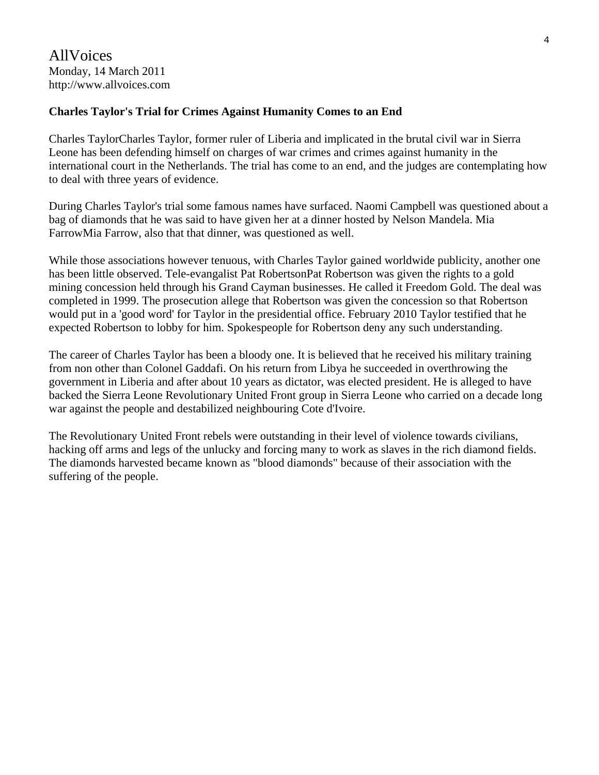#### **Charles Taylor's Trial for Crimes Against Humanity Comes to an End**

Charles TaylorCharles Taylor, former ruler of Liberia and implicated in the brutal civil war in Sierra Leone has been defending himself on charges of war crimes and crimes against humanity in the international court in the Netherlands. The trial has come to an end, and the judges are contemplating how to deal with three years of evidence.

During Charles Taylor's trial some famous names have surfaced. Naomi Campbell was questioned about a bag of diamonds that he was said to have given her at a dinner hosted by Nelson Mandela. Mia FarrowMia Farrow, also that that dinner, was questioned as well.

While those associations however tenuous, with Charles Taylor gained worldwide publicity, another one has been little observed. Tele-evangalist Pat RobertsonPat Robertson was given the rights to a gold mining concession held through his Grand Cayman businesses. He called it Freedom Gold. The deal was completed in 1999. The prosecution allege that Robertson was given the concession so that Robertson would put in a 'good word' for Taylor in the presidential office. February 2010 Taylor testified that he expected Robertson to lobby for him. Spokespeople for Robertson deny any such understanding.

The career of Charles Taylor has been a bloody one. It is believed that he received his military training from non other than Colonel Gaddafi. On his return from Libya he succeeded in overthrowing the government in Liberia and after about 10 years as dictator, was elected president. He is alleged to have backed the Sierra Leone Revolutionary United Front group in Sierra Leone who carried on a decade long war against the people and destabilized neighbouring Cote d'Ivoire.

The Revolutionary United Front rebels were outstanding in their level of violence towards civilians, hacking off arms and legs of the unlucky and forcing many to work as slaves in the rich diamond fields. The diamonds harvested became known as "blood diamonds" because of their association with the suffering of the people.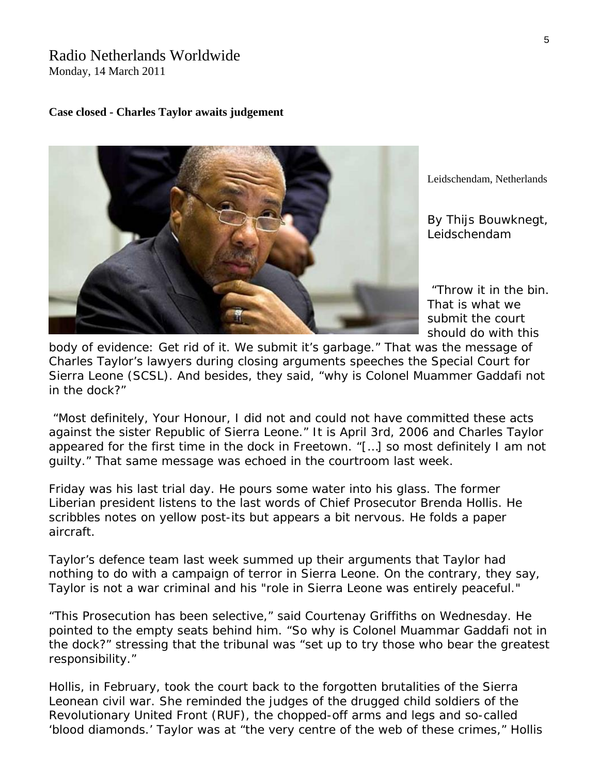## Radio Netherlands Worldwide

Monday, 14 March 2011

#### **Case closed - Charles Taylor awaits judgement**



Leidschendam, Netherlands

*By Thijs B ouwknegt, Leidschendam*

 "Throw it in the bin. s should do with thi That is what we submit the court

Sierra Leone (SCSL). And besides, they said, "why is Colonel Muammer Gaddafi not body of evidence: Get rid of it. We submit it's garbage." That was the message of Charles Taylor's lawyers during closing arguments speeches the Special Court for in the dock?"

 "Most definitely, Your Honour, I did not and could not have committed these acts against the sister Republic of Sierra Leone." It is April 3rd, 2006 and Charles Taylor appeared for the first time in the dock in Freetown. "[…] so most definitely I am not guilty." That same message was echoed in the courtroom last week.

Friday was his last trial day. He pours some water into his glass. The former Liberian president listens to the last words of Chief Prosecutor Brenda Hollis. He scribbles notes on yellow post-its but appears a bit nervous. He folds a paper aircraft.

Taylor's defence team last week summed up their arguments that Taylor had nothing to do with a campaign of terror in Sierra Leone. On the contrary, they say, Taylor is not a war criminal and his "role in Sierra Leone was entirely peaceful."

"This Prosecution has been selective," said Courtenay Griffiths on Wednesday. He pointed to the empty seats behind him. "So why is Colonel Muammar Gaddafi not in the dock?" stressing that the tribunal was "set up to try those who bear the greatest responsibility."

Hollis, in February, took the court back to the forgotten brutalities of the Sierra Leonean civil war. She reminded the judges of the drugged child soldiers of the Revolutionary United Front (RUF), the chopped-off arms and legs and so-called 'blood diamonds.' Taylor was at "the very centre of the web of these crimes," Hollis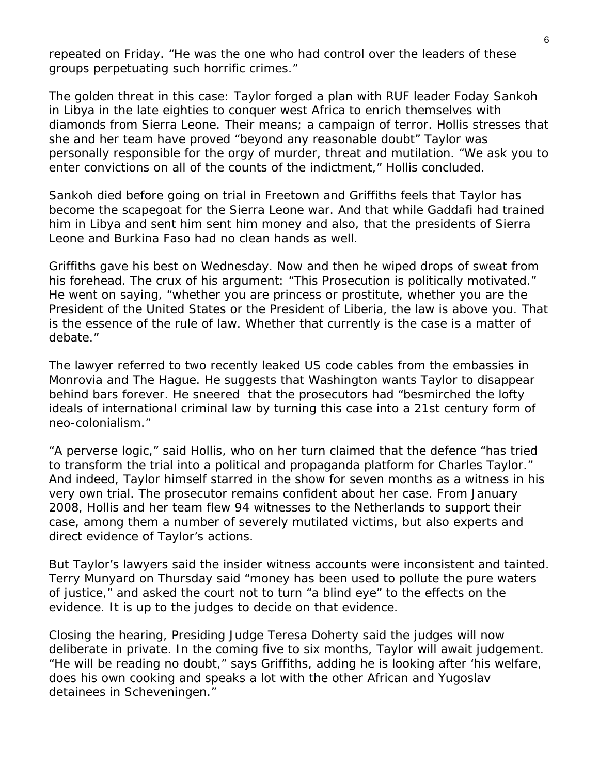repeated on Friday. "He was the one who had control over the leaders of these groups perpetuating such horrific crimes."

The golden threat in this case: Taylor forged a plan with RUF leader Foday Sankoh in Libya in the late eighties to conquer west Africa to enrich themselves with diamonds from Sierra Leone. Their means; a campaign of terror. Hollis stresses that she and her team have proved "beyond any reasonable doubt" Taylor was personally responsible for the orgy of murder, threat and mutilation. "We ask you to enter convictions on all of the counts of the indictment," Hollis concluded.

Sankoh died before going on trial in Freetown and Griffiths feels that Taylor has become the scapegoat for the Sierra Leone war. And that while Gaddafi had trained him in Libya and sent him sent him money and also, that the presidents of Sierra Leone and Burkina Faso had no clean hands as well.

Griffiths gave his best on Wednesday. Now and then he wiped drops of sweat from his forehead. The crux of his argument: "This Prosecution is politically motivated." He went on saying, "whether you are princess or prostitute, whether you are the President of the United States or the President of Liberia, the law is above you. That is the essence of the rule of law. Whether that currently is the case is a matter of debate."

The lawyer referred to two recently leaked US code cables from the embassies in Monrovia and The Hague. He suggests that Washington wants Taylor to disappear behind bars forever. He sneered that the prosecutors had "besmirched the lofty ideals of international criminal law by turning this case into a 21st century form of neo-colonialism."

"A perverse logic," said Hollis, who on her turn claimed that the defence "has tried to transform the trial into a political and propaganda platform for Charles Taylor." And indeed, Taylor himself starred in the show for seven months as a witness in his very own trial. The prosecutor remains confident about her case. From January 2008, Hollis and her team flew 94 witnesses to the Netherlands to support their case, among them a number of severely mutilated victims, but also experts and direct evidence of Taylor's actions.

But Taylor's lawyers said the insider witness accounts were inconsistent and tainted. Terry Munyard on Thursday said "money has been used to pollute the pure waters of justice," and asked the court not to turn "a blind eye" to the effects on the evidence. It is up to the judges to decide on that evidence.

Closing the hearing, Presiding Judge Teresa Doherty said the judges will now deliberate in private. In the coming five to six months, Taylor will await judgement. "He will be reading no doubt," says Griffiths, adding he is looking after 'his welfare, does his own cooking and speaks a lot with the other African and Yugoslav detainees in Scheveningen."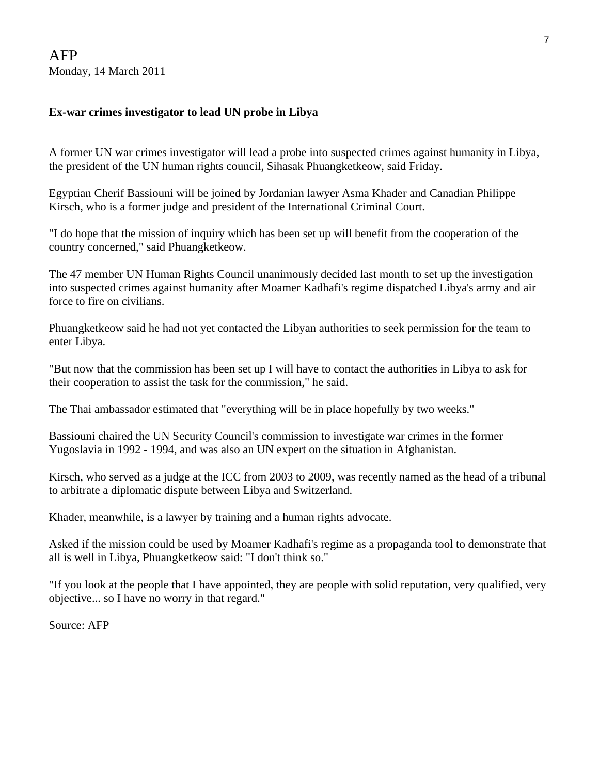#### **Ex-war crimes investigator to lead UN probe in Libya**

A former UN war crimes investigator will lead a probe into suspected crimes against humanity in Libya, the president of the UN human rights council, Sihasak Phuangketkeow, said Friday.

Egyptian Cherif Bassiouni will be joined by Jordanian lawyer Asma Khader and Canadian Philippe Kirsch, who is a former judge and president of the International Criminal Court.

"I do hope that the mission of inquiry which has been set up will benefit from the cooperation of the country concerned," said Phuangketkeow.

The 47 member UN Human Rights Council unanimously decided last month to set up the investigation into suspected crimes against humanity after Moamer Kadhafi's regime dispatched Libya's army and air force to fire on civilians.

Phuangketkeow said he had not yet contacted the Libyan authorities to seek permission for the team to enter Libya.

"But now that the commission has been set up I will have to contact the authorities in Libya to ask for their cooperation to assist the task for the commission," he said.

The Thai ambassador estimated that "everything will be in place hopefully by two weeks."

Bassiouni chaired the UN Security Council's commission to investigate war crimes in the former Yugoslavia in 1992 - 1994, and was also an UN expert on the situation in Afghanistan.

Kirsch, who served as a judge at the ICC from 2003 to 2009, was recently named as the head of a tribunal to arbitrate a diplomatic dispute between Libya and Switzerland.

Khader, meanwhile, is a lawyer by training and a human rights advocate.

Asked if the mission could be used by Moamer Kadhafi's regime as a propaganda tool to demonstrate that all is well in Libya, Phuangketkeow said: "I don't think so."

"If you look at the people that I have appointed, they are people with solid reputation, very qualified, very objective... so I have no worry in that regard."

Source: AFP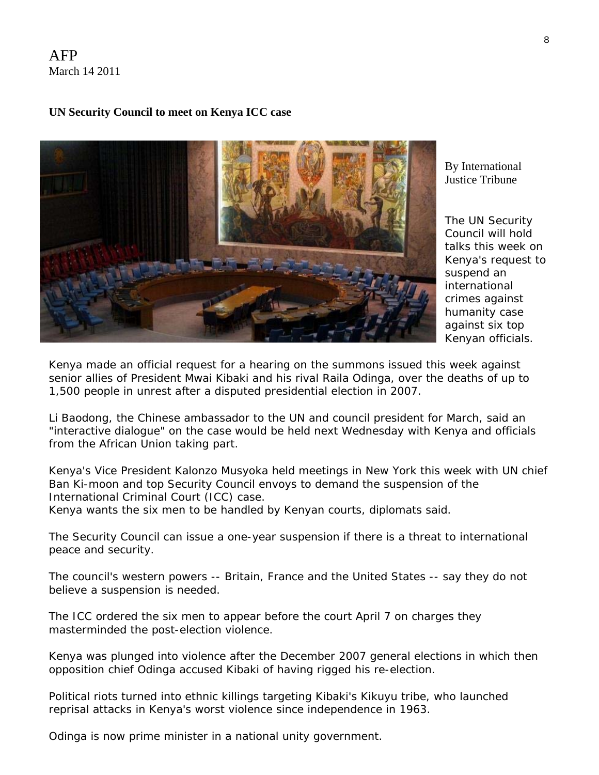AFP March 14 2011

#### **UN Security Council to meet on Kenya ICC case**



By [International](http://www.rnw.nl/international-justice/users/international-justice-tribune)  [Justice Tribune](http://www.rnw.nl/international-justice/users/international-justice-tribune) 

The UN Security Council will hold talks this week on Kenya's request to suspend an international crimes against humanity case against six top Kenyan officials.

Kenya made an official request for a hearing on the summons issued this week against senior allies of President Mwai Kibaki and his rival Raila Odinga, over the deaths of up to 1,500 people in unrest after a disputed presidential election in 2007.

Li Baodong, the Chinese ambassador to the UN and council president for March, said an "interactive dialogue" on the case would be held next Wednesday with Kenya and officials from the African Union taking part.

Kenya's Vice President Kalonzo Musyoka held meetings in New York this week with UN chief Ban Ki-moon and top Security Council envoys to demand the suspension of the International Criminal Court (ICC) case.

Kenya wants the six men to be handled by Kenyan courts, diplomats said.

The Security Council can issue a one-year suspension if there is a threat to international peace and security.

The council's western powers -- Britain, France and the United States -- say they do not believe a suspension is needed.

The ICC ordered the six men to appear before the court April 7 on charges they masterminded the post-election violence.

Kenya was plunged into violence after the December 2007 general elections in which then opposition chief Odinga accused Kibaki of having rigged his re-election.

Political riots turned into ethnic killings targeting Kibaki's Kikuyu tribe, who launched reprisal attacks in Kenya's worst violence since independence in 1963.

Odinga is now prime minister in a national unity government.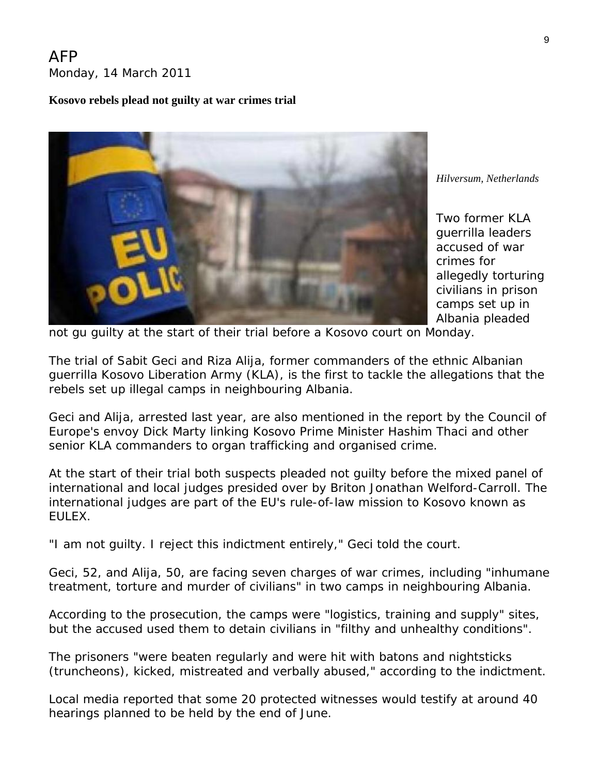#### AFP Monday, 14 March 2011

#### **Kosovo rebels plead not guilty at war crimes trial**



*[Hilver](http://www.rnw.nl/international-justice/users/international-justice-desk)sum, Netherlands* 

Two former KLA guerrilla leaders accused of war crimes for allegedly torturing civilians in prison camps set up in Albania pleaded

not gu guilty at the start of their trial before a Kosovo court on Monday.

The trial of Sabit Geci and Riza Alija, former commanders of the ethnic Albanian guerrilla Kosovo Liberation Army (KLA), is the first to tackle the allegations that the rebels set up illegal camps in neighbouring Albania.

Geci and Alija, arrested last year, are also mentioned in the report by the Council of Europe's envoy Dick Marty linking Kosovo Prime Minister Hashim Thaci and other senior KLA commanders to organ trafficking and organised crime.

At the start of their trial both suspects pleaded not guilty before the mixed panel of international and local judges presided over by Briton Jonathan Welford-Carroll. The international judges are part of the EU's rule-of-law mission to Kosovo known as EULEX.

"I am not guilty. I reject this indictment entirely," Geci told the court.

Geci, 52, and Alija, 50, are facing seven charges of war crimes, including "inhumane treatment, torture and murder of civilians" in two camps in neighbouring Albania.

According to the prosecution, the camps were "logistics, training and supply" sites, but the accused used them to detain civilians in "filthy and unhealthy conditions".

The prisoners "were beaten regularly and were hit with batons and nightsticks (truncheons), kicked, mistreated and verbally abused," according to the indictment.

Local media reported that some 20 protected witnesses would testify at around 40 hearings planned to be held by the end of June.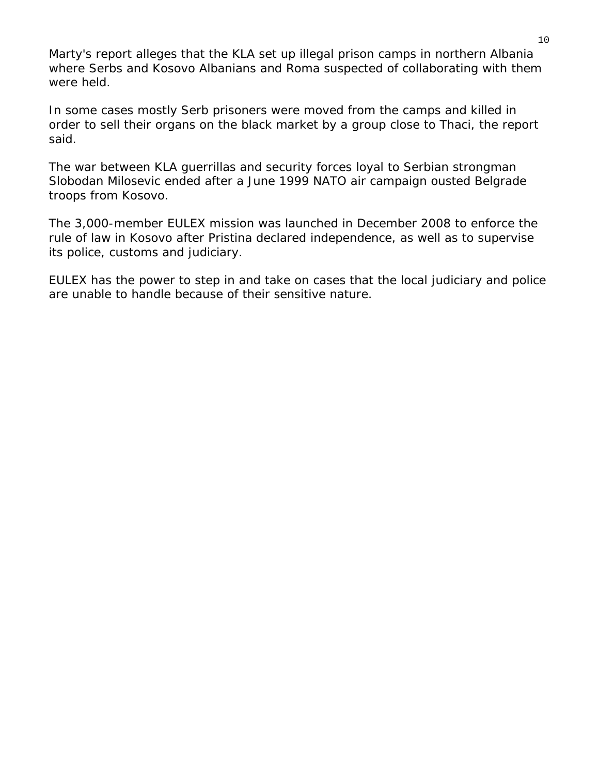Marty's report alleges that the KLA set up illegal prison camps in northern Albania where Serbs and Kosovo Albanians and Roma suspected of collaborating with them were held.

In some cases mostly Serb prisoners were moved from the camps and killed in order to sell their organs on the black market by a group close to Thaci, the report said.

The war between KLA guerrillas and security forces loyal to Serbian strongman Slobodan Milosevic ended after a June 1999 NATO air campaign ousted Belgrade troops from Kosovo.

The 3,000-member EULEX mission was launched in December 2008 to enforce the rule of law in Kosovo after Pristina declared independence, as well as to supervise its police, customs and judiciary.

EULEX has the power to step in and take on cases that the local judiciary and police are unable to handle because of their sensitive nature.